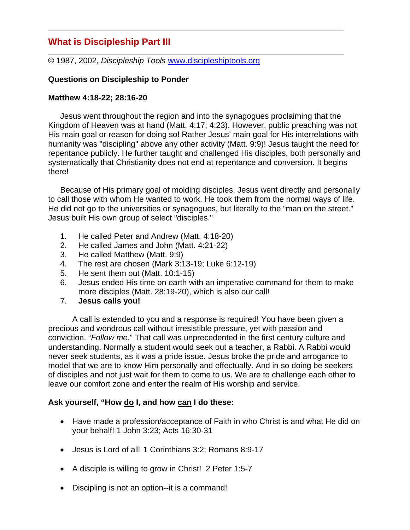# **What is Discipleship Part III**

© 1987, 2002, *Discipleship Tools* www.discipleshiptools.org

## **Questions on Discipleship to Ponder**

### **Matthew 4:18-22; 28:16-20**

 Jesus went throughout the region and into the synagogues proclaiming that the Kingdom of Heaven was at hand (Matt. 4:17; 4:23). However, public preaching was not His main goal or reason for doing so! Rather Jesus' main goal for His interrelations with humanity was "discipling" above any other activity (Matt. 9:9)! Jesus taught the need for repentance publicly. He further taught and challenged His disciples, both personally and systematically that Christianity does not end at repentance and conversion. It begins there!

 Because of His primary goal of molding disciples, Jesus went directly and personally to call those with whom He wanted to work. He took them from the normal ways of life. He did not go to the universities or synagogues, but literally to the "man on the street." Jesus built His own group of select "disciples."

- 1. He called Peter and Andrew (Matt. 4:18-20)
- 2. He called James and John (Matt. 4:21-22)
- 3. He called Matthew (Matt. 9:9)
- 4. The rest are chosen (Mark 3:13-19; Luke 6:12-19)
- 5. He sent them out (Matt. 10:1-15)
- 6. Jesus ended His time on earth with an imperative command for them to make more disciples (Matt. 28:19-20), which is also our call!
- 7. **Jesus calls you!**

A call is extended to you and a response is required! You have been given a precious and wondrous call without irresistible pressure, yet with passion and conviction. "*Follow me*." That call was unprecedented in the first century culture and understanding. Normally a student would seek out a teacher, a Rabbi. A Rabbi would never seek students, as it was a pride issue. Jesus broke the pride and arrogance to model that we are to know Him personally and effectually. And in so doing be seekers of disciples and not just wait for them to come to us. We are to challenge each other to leave our comfort zone and enter the realm of His worship and service.

## **Ask yourself, "How do I, and how can I do these:**

- Have made a profession/acceptance of Faith in who Christ is and what He did on your behalf! 1 John 3:23; Acts 16:30-31
- Jesus is Lord of all! 1 Corinthians 3:2; Romans 8:9-17
- A disciple is willing to grow in Christ! 2 Peter 1:5-7
- Discipling is not an option--it is a command!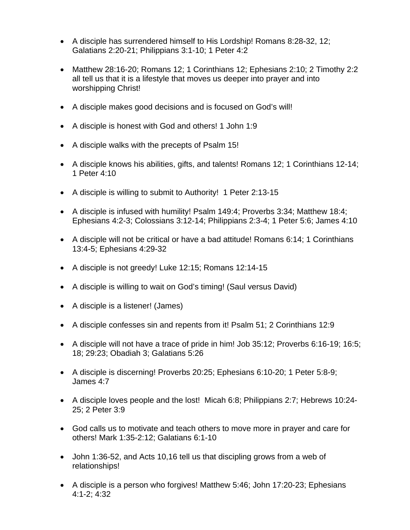- A disciple has surrendered himself to His Lordship! Romans 8:28-32, 12; Galatians 2:20-21; Philippians 3:1-10; 1 Peter 4:2
- Matthew 28:16-20; Romans 12; 1 Corinthians 12; Ephesians 2:10; 2 Timothy 2:2 all tell us that it is a lifestyle that moves us deeper into prayer and into worshipping Christ!
- A disciple makes good decisions and is focused on God's will!
- A disciple is honest with God and others! 1 John 1:9
- A disciple walks with the precepts of Psalm 15!
- A disciple knows his abilities, gifts, and talents! Romans 12; 1 Corinthians 12-14; 1 Peter 4:10
- A disciple is willing to submit to Authority! 1 Peter 2:13-15
- A disciple is infused with humility! Psalm 149:4; Proverbs 3:34; Matthew 18:4; Ephesians 4:2-3; Colossians 3:12-14; Philippians 2:3-4; 1 Peter 5:6; James 4:10
- A disciple will not be critical or have a bad attitude! Romans 6:14; 1 Corinthians 13:4-5; Ephesians 4:29-32
- A disciple is not greedy! Luke 12:15; Romans 12:14-15
- A disciple is willing to wait on God's timing! (Saul versus David)
- A disciple is a listener! (James)
- A disciple confesses sin and repents from it! Psalm 51; 2 Corinthians 12:9
- A disciple will not have a trace of pride in him! Job 35:12; Proverbs 6:16-19; 16:5; 18; 29:23; Obadiah 3; Galatians 5:26
- A disciple is discerning! Proverbs 20:25; Ephesians 6:10-20; 1 Peter 5:8-9; James 4:7
- A disciple loves people and the lost! Micah 6:8; Philippians 2:7; Hebrews 10:24- 25; 2 Peter 3:9
- God calls us to motivate and teach others to move more in prayer and care for others! Mark 1:35-2:12; Galatians 6:1-10
- John 1:36-52, and Acts 10,16 tell us that discipling grows from a web of relationships!
- A disciple is a person who forgives! Matthew 5:46; John 17:20-23; Ephesians 4:1-2; 4:32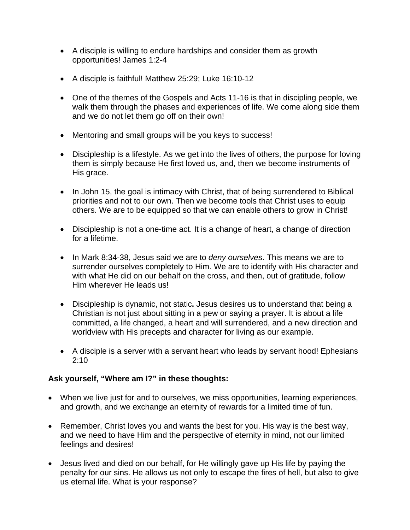- A disciple is willing to endure hardships and consider them as growth opportunities! James 1:2-4
- A disciple is faithful! Matthew 25:29; Luke 16:10-12
- One of the themes of the Gospels and Acts 11-16 is that in discipling people, we walk them through the phases and experiences of life. We come along side them and we do not let them go off on their own!
- Mentoring and small groups will be you keys to success!
- Discipleship is a lifestyle. As we get into the lives of others, the purpose for loving them is simply because He first loved us, and, then we become instruments of His grace.
- In John 15, the goal is intimacy with Christ, that of being surrendered to Biblical priorities and not to our own. Then we become tools that Christ uses to equip others. We are to be equipped so that we can enable others to grow in Christ!
- Discipleship is not a one-time act. It is a change of heart, a change of direction for a lifetime.
- In Mark 8:34-38, Jesus said we are to *deny ourselves*. This means we are to surrender ourselves completely to Him. We are to identify with His character and with what He did on our behalf on the cross, and then, out of gratitude, follow Him wherever He leads us!
- Discipleship is dynamic, not static**.** Jesus desires us to understand that being a Christian is not just about sitting in a pew or saying a prayer. It is about a life committed, a life changed, a heart and will surrendered, and a new direction and worldview with His precepts and character for living as our example.
- A disciple is a server with a servant heart who leads by servant hood! Ephesians 2:10

### **Ask yourself, "Where am I?" in these thoughts:**

- When we live just for and to ourselves, we miss opportunities, learning experiences, and growth, and we exchange an eternity of rewards for a limited time of fun.
- Remember, Christ loves you and wants the best for you. His way is the best way, and we need to have Him and the perspective of eternity in mind, not our limited feelings and desires!
- Jesus lived and died on our behalf, for He willingly gave up His life by paying the penalty for our sins. He allows us not only to escape the fires of hell, but also to give us eternal life. What is your response?